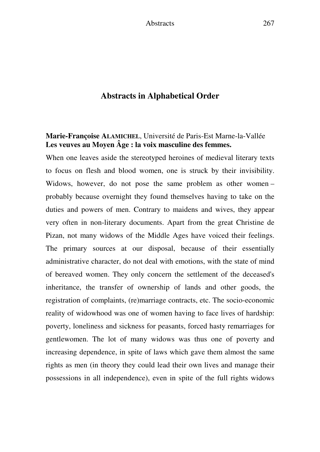## **Abstracts in Alphabetical Order**

## **Marie-Françoise ALAMICHEL**, Université de Paris-Est Marne-la-Vallée **Les veuves au Moyen Âge : la voix masculine des femmes.**

When one leaves aside the stereotyped heroines of medieval literary texts to focus on flesh and blood women, one is struck by their invisibility. Widows, however, do not pose the same problem as other women – probably because overnight they found themselves having to take on the duties and powers of men. Contrary to maidens and wives, they appear very often in non-literary documents. Apart from the great Christine de Pizan, not many widows of the Middle Ages have voiced their feelings. The primary sources at our disposal, because of their essentially administrative character, do not deal with emotions, with the state of mind of bereaved women. They only concern the settlement of the deceased's inheritance, the transfer of ownership of lands and other goods, the registration of complaints, (re)marriage contracts, etc. The socio-economic reality of widowhood was one of women having to face lives of hardship: poverty, loneliness and sickness for peasants, forced hasty remarriages for gentlewomen. The lot of many widows was thus one of poverty and increasing dependence, in spite of laws which gave them almost the same rights as men (in theory they could lead their own lives and manage their possessions in all independence), even in spite of the full rights widows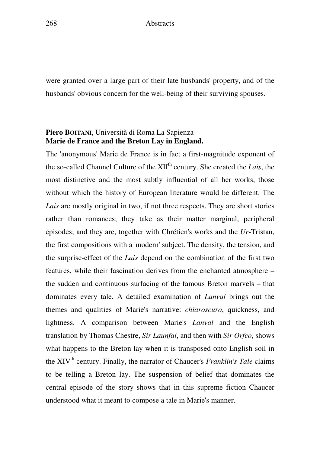were granted over a large part of their late husbands' property, and of the husbands' obvious concern for the well-being of their surviving spouses.

## **Piero BOITANI**, Università di Roma La Sapienza **Marie de France and the Breton Lay in England.**

The 'anonymous' Marie de France is in fact a first-magnitude exponent of the so-called Channel Culture of the XII<sup>th</sup> century. She created the *Lais*, the most distinctive and the most subtly influential of all her works, those without which the history of European literature would be different. The *Lais* are mostly original in two, if not three respects. They are short stories rather than romances; they take as their matter marginal, peripheral episodes; and they are, together with Chrétien's works and the *Ur*-Tristan, the first compositions with a 'modern' subject. The density, the tension, and the surprise-effect of the *Lais* depend on the combination of the first two features, while their fascination derives from the enchanted atmosphere – the sudden and continuous surfacing of the famous Breton marvels – that dominates every tale. A detailed examination of *Lanval* brings out the themes and qualities of Marie's narrative: *chiaroscuro*, quickness, and lightness. A comparison between Marie's *Lanval* and the English translation by Thomas Chestre, *Sir Launfal*, and then with *Sir Orfeo*, shows what happens to the Breton lay when it is transposed onto English soil in the XIV<sup>th</sup> century. Finally, the narrator of Chaucer's *Franklin's Tale* claims to be telling a Breton lay. The suspension of belief that dominates the central episode of the story shows that in this supreme fiction Chaucer understood what it meant to compose a tale in Marie's manner.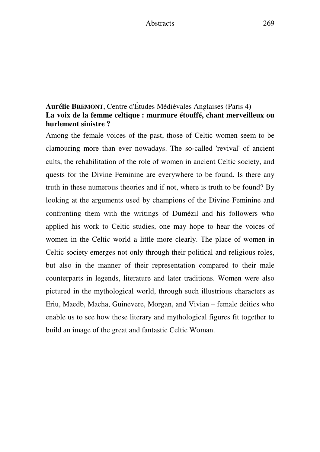## **Aurélie BREMONT**, Centre d'Études Médiévales Anglaises (Paris 4) **La voix de la femme celtique : murmure étouffé, chant merveilleux ou hurlement sinistre ?**

Among the female voices of the past, those of Celtic women seem to be clamouring more than ever nowadays. The so-called 'revival' of ancient cults, the rehabilitation of the role of women in ancient Celtic society, and quests for the Divine Feminine are everywhere to be found. Is there any truth in these numerous theories and if not, where is truth to be found? By looking at the arguments used by champions of the Divine Feminine and confronting them with the writings of Dumézil and his followers who applied his work to Celtic studies, one may hope to hear the voices of women in the Celtic world a little more clearly. The place of women in Celtic society emerges not only through their political and religious roles, but also in the manner of their representation compared to their male counterparts in legends, literature and later traditions. Women were also pictured in the mythological world, through such illustrious characters as Eriu, Maedb, Macha, Guinevere, Morgan, and Vivian – female deities who enable us to see how these literary and mythological figures fit together to build an image of the great and fantastic Celtic Woman.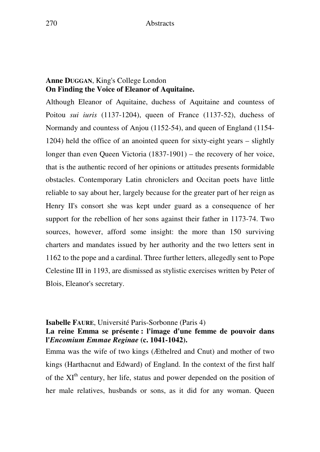## **Anne DUGGAN**, King's College London **On Finding the Voice of Eleanor of Aquitaine.**

Although Eleanor of Aquitaine, duchess of Aquitaine and countess of Poitou *sui iuris* (1137-1204), queen of France (1137-52), duchess of Normandy and countess of Anjou (1152-54), and queen of England (1154- 1204) held the office of an anointed queen for sixty-eight years – slightly longer than even Queen Victoria (1837-1901) – the recovery of her voice, that is the authentic record of her opinions or attitudes presents formidable obstacles. Contemporary Latin chroniclers and Occitan poets have little reliable to say about her, largely because for the greater part of her reign as Henry II's consort she was kept under guard as a consequence of her support for the rebellion of her sons against their father in 1173-74. Two sources, however, afford some insight: the more than 150 surviving charters and mandates issued by her authority and the two letters sent in 1162 to the pope and a cardinal. Three further letters, allegedly sent to Pope Celestine III in 1193, are dismissed as stylistic exercises written by Peter of Blois, Eleanor's secretary.

#### **Isabelle FAURE**, Université Paris-Sorbonne (Paris 4)

## **La reine Emma se présente : l'image d'une femme de pouvoir dans l'***Encomium Emmae Reginae* **(c. 1041-1042).**

Emma was the wife of two kings (Æthelred and Cnut) and mother of two kings (Harthacnut and Edward) of England. In the context of the first half of the XI<sup>th</sup> century, her life, status and power depended on the position of her male relatives, husbands or sons, as it did for any woman. Queen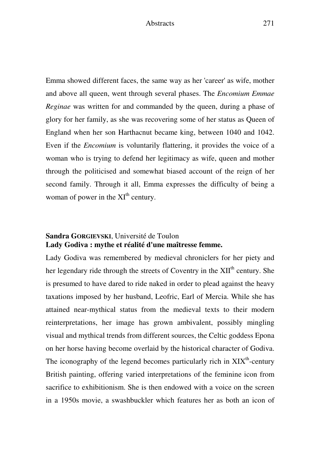Emma showed different faces, the same way as her 'career' as wife, mother and above all queen, went through several phases. The *Encomium Emmae Reginae* was written for and commanded by the queen, during a phase of glory for her family, as she was recovering some of her status as Queen of England when her son Harthacnut became king, between 1040 and 1042. Even if the *Encomium* is voluntarily flattering, it provides the voice of a woman who is trying to defend her legitimacy as wife, queen and mother through the politicised and somewhat biased account of the reign of her second family. Through it all, Emma expresses the difficulty of being a woman of power in the  $XI<sup>th</sup>$  century.

## **Sandra GORGIEVSKI**, Université de Toulon **Lady Godiva : mythe et réalité d'une maîtresse femme.**

Lady Godiva was remembered by medieval chroniclers for her piety and her legendary ride through the streets of Coventry in the  $XII<sup>th</sup>$  century. She is presumed to have dared to ride naked in order to plead against the heavy taxations imposed by her husband, Leofric, Earl of Mercia. While she has attained near-mythical status from the medieval texts to their modern reinterpretations, her image has grown ambivalent, possibly mingling visual and mythical trends from different sources, the Celtic goddess Epona on her horse having become overlaid by the historical character of Godiva. The iconography of the legend becomes particularly rich in  $XIX<sup>th</sup>$ -century British painting, offering varied interpretations of the feminine icon from sacrifice to exhibitionism. She is then endowed with a voice on the screen in a 1950s movie, a swashbuckler which features her as both an icon of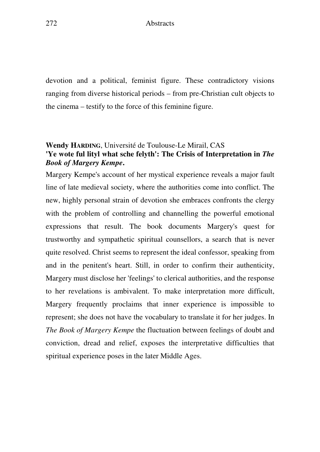devotion and a political, feminist figure. These contradictory visions ranging from diverse historical periods – from pre-Christian cult objects to the cinema – testify to the force of this feminine figure.

## **Wendy HARDING**, Université de Toulouse-Le Mirail, CAS **'Ye wote ful lityl what sche felyth': The Crisis of Interpretation in** *The Book of Margery Kempe***.**

Margery Kempe's account of her mystical experience reveals a major fault line of late medieval society, where the authorities come into conflict. The new, highly personal strain of devotion she embraces confronts the clergy with the problem of controlling and channelling the powerful emotional expressions that result. The book documents Margery's quest for trustworthy and sympathetic spiritual counsellors, a search that is never quite resolved. Christ seems to represent the ideal confessor, speaking from and in the penitent's heart. Still, in order to confirm their authenticity, Margery must disclose her 'feelings' to clerical authorities, and the response to her revelations is ambivalent. To make interpretation more difficult, Margery frequently proclaims that inner experience is impossible to represent; she does not have the vocabulary to translate it for her judges. In *The Book of Margery Kempe* the fluctuation between feelings of doubt and conviction, dread and relief, exposes the interpretative difficulties that spiritual experience poses in the later Middle Ages.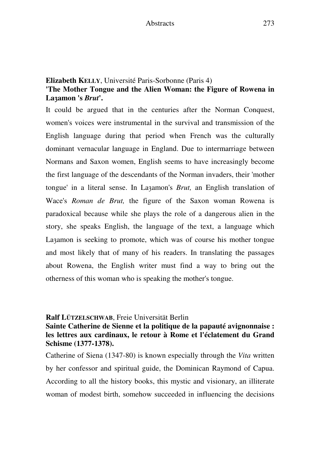## **Elizabeth KELLY**, Université Paris-Sorbonne (Paris 4) **'The Mother Tongue and the Alien Woman: the Figure of Rowena in La**h**amon 's** *Brut***'.**

It could be argued that in the centuries after the Norman Conquest, women's voices were instrumental in the survival and transmission of the English language during that period when French was the culturally dominant vernacular language in England. Due to intermarriage between Normans and Saxon women, English seems to have increasingly become the first language of the descendants of the Norman invaders, their 'mother tongue' in a literal sense. In La<sub>zamon's</sub> *Brut*, an English translation of Wace's *Roman de Brut,* the figure of the Saxon woman Rowena is paradoxical because while she plays the role of a dangerous alien in the story, she speaks English, the language of the text, a language which Lazamon is seeking to promote, which was of course his mother tongue and most likely that of many of his readers. In translating the passages about Rowena, the English writer must find a way to bring out the otherness of this woman who is speaking the mother's tongue.

#### **Ralf LÜTZELSCHWAB**, Freie Universität Berlin

#### **Sainte Catherine de Sienne et la politique de la papauté avignonnaise : les lettres aux cardinaux, le retour à Rome et l'éclatement du Grand Schisme (1377-1378).**

Catherine of Siena (1347-80) is known especially through the *Vita* written by her confessor and spiritual guide, the Dominican Raymond of Capua. According to all the history books, this mystic and visionary, an illiterate woman of modest birth, somehow succeeded in influencing the decisions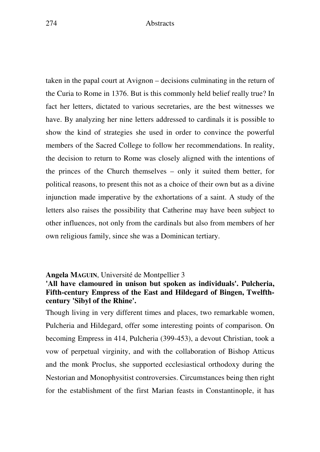taken in the papal court at Avignon – decisions culminating in the return of the Curia to Rome in 1376. But is this commonly held belief really true? In fact her letters, dictated to various secretaries, are the best witnesses we have. By analyzing her nine letters addressed to cardinals it is possible to show the kind of strategies she used in order to convince the powerful members of the Sacred College to follow her recommendations. In reality, the decision to return to Rome was closely aligned with the intentions of the princes of the Church themselves – only it suited them better, for political reasons, to present this not as a choice of their own but as a divine injunction made imperative by the exhortations of a saint. A study of the letters also raises the possibility that Catherine may have been subject to other influences, not only from the cardinals but also from members of her own religious family, since she was a Dominican tertiary.

#### **Angela MAGUIN**, Université de Montpellier 3

#### **'All have clamoured in unison but spoken as individuals'. Pulcheria, Fifth-century Empress of the East and Hildegard of Bingen, Twelfthcentury 'Sibyl of the Rhine'.**

Though living in very different times and places, two remarkable women, Pulcheria and Hildegard, offer some interesting points of comparison. On becoming Empress in 414, Pulcheria (399-453), a devout Christian, took a vow of perpetual virginity, and with the collaboration of Bishop Atticus and the monk Proclus, she supported ecclesiastical orthodoxy during the Nestorian and Monophysitist controversies. Circumstances being then right for the establishment of the first Marian feasts in Constantinople, it has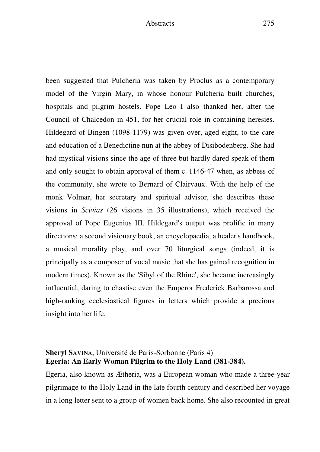been suggested that Pulcheria was taken by Proclus as a contemporary model of the Virgin Mary, in whose honour Pulcheria built churches, hospitals and pilgrim hostels. Pope Leo I also thanked her, after the Council of Chalcedon in 451, for her crucial role in containing heresies. Hildegard of Bingen (1098-1179) was given over, aged eight, to the care and education of a Benedictine nun at the abbey of Disibodenberg. She had had mystical visions since the age of three but hardly dared speak of them and only sought to obtain approval of them c. 1146-47 when, as abbess of the community, she wrote to Bernard of Clairvaux. With the help of the monk Volmar, her secretary and spiritual advisor, she describes these visions in *Scivias* (26 visions in 35 illustrations), which received the approval of Pope Eugenius III. Hildegard's output was prolific in many directions: a second visionary book, an encyclopaedia, a healer's handbook, a musical morality play, and over 70 liturgical songs (indeed, it is principally as a composer of vocal music that she has gained recognition in modern times). Known as the 'Sibyl of the Rhine', she became increasingly influential, daring to chastise even the Emperor Frederick Barbarossa and high-ranking ecclesiastical figures in letters which provide a precious insight into her life.

## **Sheryl SAVINA**, Université de Paris-Sorbonne (Paris 4) **Egeria: An Early Woman Pilgrim to the Holy Land (381-384).**

Egeria, also known as Ætheria, was a European woman who made a three-year pilgrimage to the Holy Land in the late fourth century and described her voyage in a long letter sent to a group of women back home. She also recounted in great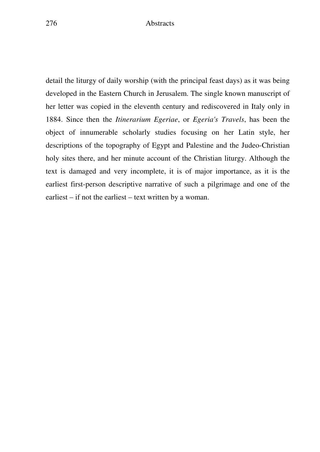detail the liturgy of daily worship (with the principal feast days) as it was being developed in the Eastern Church in Jerusalem. The single known manuscript of her letter was copied in the eleventh century and rediscovered in Italy only in 1884. Since then the *Itinerarium Egeriae*, or *Egeria's Travels*, has been the object of innumerable scholarly studies focusing on her Latin style, her descriptions of the topography of Egypt and Palestine and the Judeo-Christian holy sites there, and her minute account of the Christian liturgy. Although the text is damaged and very incomplete, it is of major importance, as it is the earliest first-person descriptive narrative of such a pilgrimage and one of the earliest – if not the earliest – text written by a woman.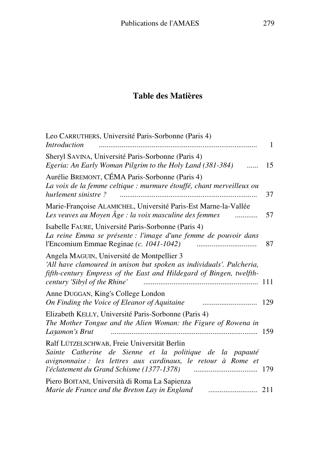# **Table des Matières**

| Leo CARRUTHERS, Université Paris-Sorbonne (Paris 4)<br><b>Introduction</b>                                                                                                                                                | 1   |
|---------------------------------------------------------------------------------------------------------------------------------------------------------------------------------------------------------------------------|-----|
| Sheryl SAVINA, Université Paris-Sorbonne (Paris 4)<br>Egeria: An Early Woman Pilgrim to the Holy Land (381-384)<br>.                                                                                                      | 15  |
| Aurélie BREMONT, CÉMA Paris-Sorbonne (Paris 4)<br>La voix de la femme celtique : murmure étouffé, chant merveilleux ou<br>hurlement sinistre?                                                                             | 37  |
| Marie-Françoise ALAMICHEL, Université Paris-Est Marne-la-Vallée<br>Les veuves au Moyen Âge : la voix masculine des femmes<br>.                                                                                            | 57  |
| Isabelle FAURE, Université Paris-Sorbonne (Paris 4)<br>La reine Emma se présente : l'image d'une femme de pouvoir dans<br>l'Encomium Emmae Reginae (c. 1041-1042)                                                         | 87  |
| Angela MAGUIN, Université de Montpellier 3<br>'All have clamoured in unison but spoken as individuals'. Pulcheria,<br>fifth-century Empress of the East and Hildegard of Bingen, twelfth-<br>century 'Sibyl of the Rhine' | 111 |
| Anne DUGGAN, King's College London<br>On Finding the Voice of Eleanor of Aquitaine                                                                                                                                        | 129 |
| Elizabeth KELLY, Université Paris-Sorbonne (Paris 4)<br>The Mother Tongue and the Alien Woman: the Figure of Rowena in<br>Lazamon's Brut                                                                                  | 159 |
| Ralf LÜTZELSCHWAB, Freie Universität Berlin<br>Sainte Catherine de Sienne et la politique de la papauté<br>avignonnaise : les lettres aux cardinaux, le retour à Rome et                                                  | 179 |
| Piero BOITANI, Università di Roma La Sapienza<br>Marie de France and the Breton Lay in England                                                                                                                            | 211 |